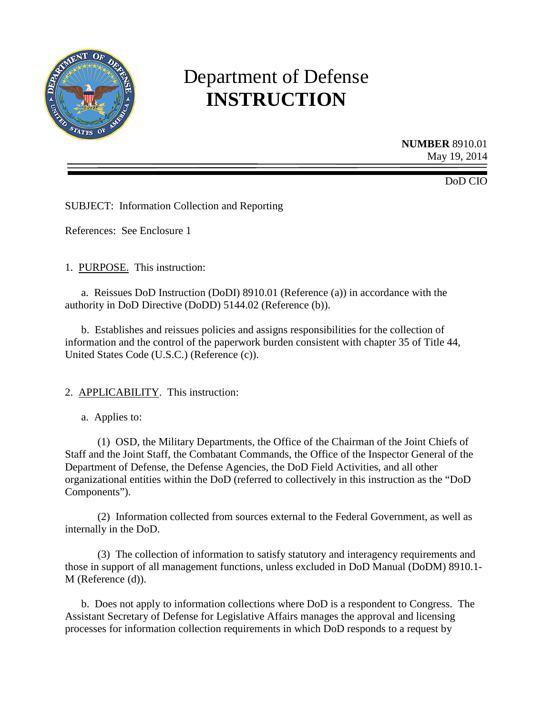

# Department of Defense **INSTRUCTION**

**NUMBER** 8910.01 May 19, 2014

DoD CIO

SUBJECT: Information Collection and Reporting

References: See Enclosure 1

1. PURPOSE. This instruction:

a. Reissues DoD Instruction (DoDI) 8910.01 (Reference (a)) in accordance with the authority in DoD Directive (DoDD) 5144.02 (Reference (b)).

b. Establishes and reissues policies and assigns responsibilities for the collection of information and the control of the paperwork burden consistent with chapter 35 of Title 44, United States Code (U.S.C.) (Reference (c)).

#### 2. APPLICABILITY. This instruction:

a. Applies to:

(1) OSD, the Military Departments, the Office of the Chairman of the Joint Chiefs of Staff and the Joint Staff, the Combatant Commands, the Office of the Inspector General of the Department of Defense, the Defense Agencies, the DoD Field Activities, and all other organizational entities within the DoD (referred to collectively in this instruction as the "DoD Components").

(2) Information collected from sources external to the Federal Government, as well as internally in the DoD.

(3) The collection of information to satisfy statutory and interagency requirements and those in support of all management functions, unless excluded in DoD Manual (DoDM) 8910.1- M (Reference (d)).

b. Does not apply to information collections where DoD is a respondent to Congress. The Assistant Secretary of Defense for Legislative Affairs manages the approval and licensing processes for information collection requirements in which DoD responds to a request by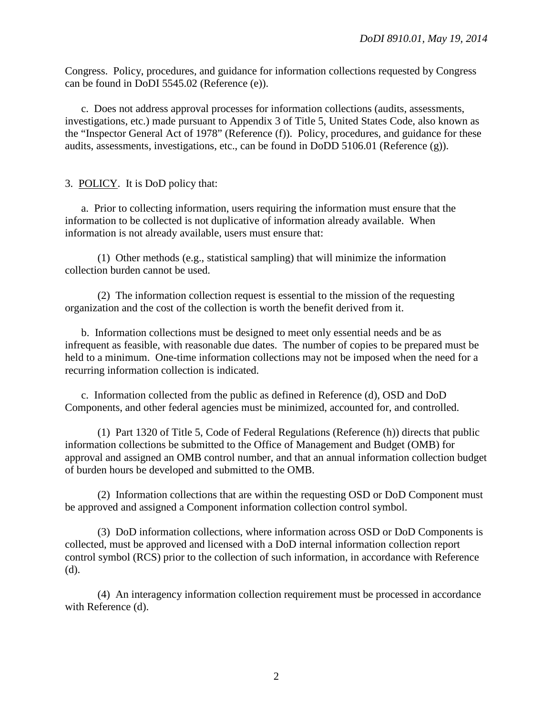Congress. Policy, procedures, and guidance for information collections requested by Congress can be found in DoDI 5545.02 (Reference (e)).

c. Does not address approval processes for information collections (audits, assessments, investigations, etc.) made pursuant to Appendix 3 of Title 5, United States Code, also known as the "Inspector General Act of 1978" (Reference (f)). Policy, procedures, and guidance for these audits, assessments, investigations, etc., can be found in DoDD 5106.01 (Reference (g)).

## 3. POLICY. It is DoD policy that:

a. Prior to collecting information, users requiring the information must ensure that the information to be collected is not duplicative of information already available. When information is not already available, users must ensure that:

(1) Other methods (e.g., statistical sampling) that will minimize the information collection burden cannot be used.

(2) The information collection request is essential to the mission of the requesting organization and the cost of the collection is worth the benefit derived from it.

b. Information collections must be designed to meet only essential needs and be as infrequent as feasible, with reasonable due dates. The number of copies to be prepared must be held to a minimum. One-time information collections may not be imposed when the need for a recurring information collection is indicated.

c. Information collected from the public as defined in Reference (d), OSD and DoD Components, and other federal agencies must be minimized, accounted for, and controlled.

(1) Part 1320 of Title 5, Code of Federal Regulations (Reference (h)) directs that public information collections be submitted to the Office of Management and Budget (OMB) for approval and assigned an OMB control number, and that an annual information collection budget of burden hours be developed and submitted to the OMB.

(2) Information collections that are within the requesting OSD or DoD Component must be approved and assigned a Component information collection control symbol.

(3) DoD information collections, where information across OSD or DoD Components is collected, must be approved and licensed with a DoD internal information collection report control symbol (RCS) prior to the collection of such information, in accordance with Reference (d).

(4) An interagency information collection requirement must be processed in accordance with Reference (d).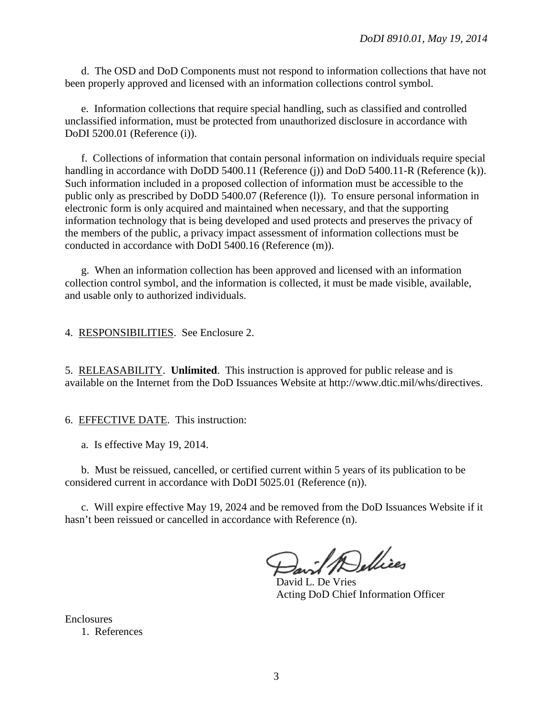d. The OSD and DoD Components must not respond to information collections that have not been properly approved and licensed with an information collections control symbol.

e. Information collections that require special handling, such as classified and controlled unclassified information, must be protected from unauthorized disclosure in accordance with DoDI 5200.01 (Reference (i)).

f. Collections of information that contain personal information on individuals require special handling in accordance with DoDD 5400.11 (Reference (i)) and DoD 5400.11-R (Reference (k)). Such information included in a proposed collection of information must be accessible to the public only as prescribed by DoDD 5400.07 (Reference (l)). To ensure personal information in electronic form is only acquired and maintained when necessary, and that the supporting information technology that is being developed and used protects and preserves the privacy of the members of the public, a privacy impact assessment of information collections must be conducted in accordance with DoDI 5400.16 (Reference (m)).

g. When an information collection has been approved and licensed with an information collection control symbol, and the information is collected, it must be made visible, available, and usable only to authorized individuals.

4. RESPONSIBILITIES. See Enclosure 2.

5. RELEASABILITY. **Unlimited**. This instruction is approved for public release and is available on the Internet from the DoD Issuances Website at http://www.dtic.mil/whs/directives.

6. EFFECTIVE DATE. This instruction:

a. Is effective May 19, 2014.

b. Must be reissued, cancelled, or certified current within 5 years of its publication to be considered current in accordance with DoDI 5025.01 (Reference (n)).

c. Will expire effective May 19, 2024 and be removed from the DoD Issuances Website if it hasn't been reissued or cancelled in accordance with Reference (n).

avil Dellices

David L. De Vries Acting DoD Chief Information Officer

Enclosures 1. References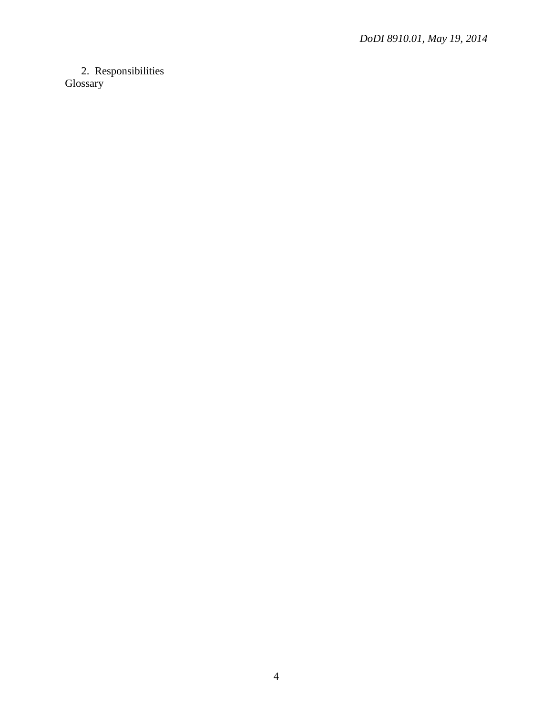# 2. Responsibilities Glossary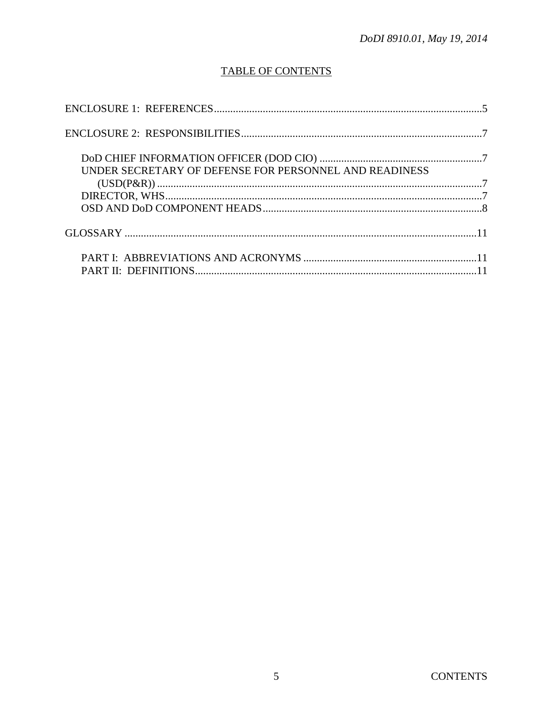# **TABLE OF CONTENTS**

| UNDER SECRETARY OF DEFENSE FOR PERSONNEL AND READINESS |  |
|--------------------------------------------------------|--|
|                                                        |  |
|                                                        |  |
|                                                        |  |
|                                                        |  |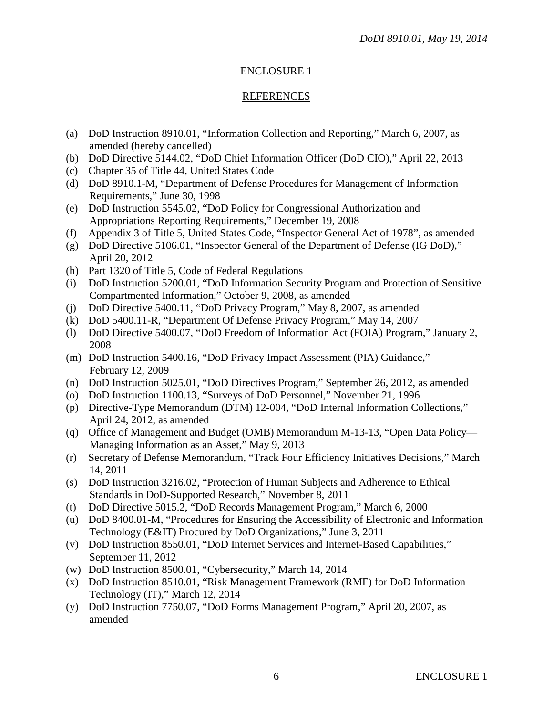## ENCLOSURE 1

#### REFERENCES

- (a) DoD Instruction 8910.01, "Information Collection and Reporting," March 6, 2007, as amended (hereby cancelled)
- (b) DoD Directive 5144.02, "DoD Chief Information Officer (DoD CIO)," April 22, 2013
- (c) Chapter 35 of Title 44, United States Code
- (d) DoD 8910.1-M, "Department of Defense Procedures for Management of Information Requirements," June 30, 1998
- (e) DoD Instruction 5545.02, "DoD Policy for Congressional Authorization and Appropriations Reporting Requirements," December 19, 2008
- (f) Appendix 3 of Title 5, United States Code, "Inspector General Act of 1978", as amended
- (g) DoD Directive 5106.01, "Inspector General of the Department of Defense (IG DoD)," April 20, 2012
- (h) Part 1320 of Title 5, Code of Federal Regulations
- (i) DoD Instruction 5200.01, "DoD Information Security Program and Protection of Sensitive Compartmented Information," October 9, 2008, as amended
- (j) DoD Directive 5400.11, "DoD Privacy Program," May 8, 2007, as amended
- (k) DoD 5400.11-R, "Department Of Defense Privacy Program," May 14, 2007
- (l) DoD Directive 5400.07, "DoD Freedom of Information Act (FOIA) Program," January 2, 2008
- (m) DoD Instruction 5400.16, "DoD Privacy Impact Assessment (PIA) Guidance," February 12, 2009
- (n) DoD Instruction 5025.01, "DoD Directives Program," September 26, 2012, as amended
- (o) DoD Instruction 1100.13, "Surveys of DoD Personnel," November 21, 1996
- (p) Directive-Type Memorandum (DTM) 12-004, "DoD Internal Information Collections," April 24, 2012, as amended
- (q) Office of Management and Budget (OMB) Memorandum M-13-13, "Open Data Policy— Managing Information as an Asset," May 9, 2013
- (r) Secretary of Defense Memorandum, "Track Four Efficiency Initiatives Decisions," March 14, 2011
- (s) DoD Instruction 3216.02, "Protection of Human Subjects and Adherence to Ethical Standards in DoD-Supported Research," November 8, 2011
- (t) DoD Directive 5015.2, "DoD Records Management Program," March 6, 2000
- (u) DoD 8400.01-M, "Procedures for Ensuring the Accessibility of Electronic and Information Technology (E&IT) Procured by DoD Organizations," June 3, 2011
- (v) DoD Instruction 8550.01, "DoD Internet Services and Internet-Based Capabilities," September 11, 2012
- (w) DoD Instruction 8500.01, "Cybersecurity," March 14, 2014
- (x) DoD Instruction 8510.01, "Risk Management Framework (RMF) for DoD Information Technology (IT)," March 12, 2014
- (y) DoD Instruction 7750.07, "DoD Forms Management Program," April 20, 2007, as amended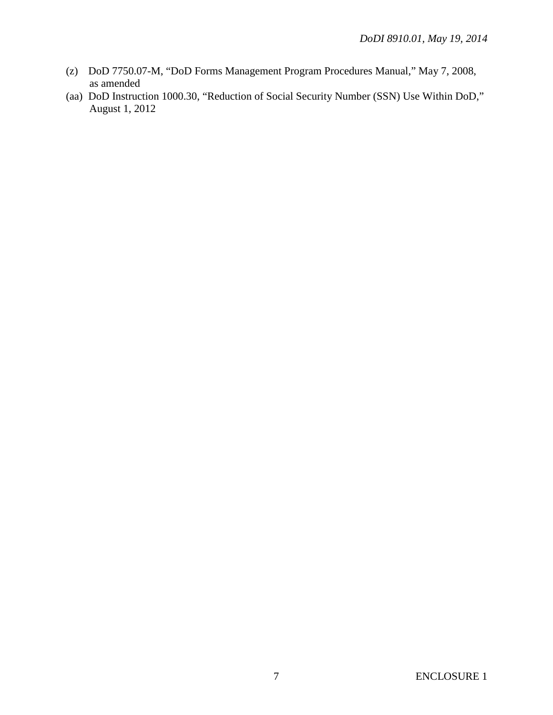- (z) DoD 7750.07-M, "DoD Forms Management Program Procedures Manual," May 7, 2008, as amended
- (aa) DoD Instruction 1000.30, "Reduction of Social Security Number (SSN) Use Within DoD," August 1, 2012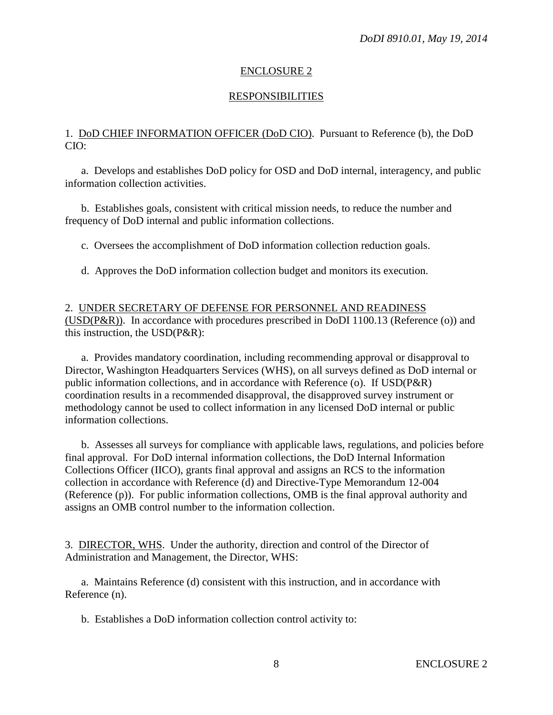#### ENCLOSURE 2

### **RESPONSIBILITIES**

#### 1. DoD CHIEF INFORMATION OFFICER (DoD CIO). Pursuant to Reference (b), the DoD CIO:

a. Develops and establishes DoD policy for OSD and DoD internal, interagency, and public information collection activities.

b. Establishes goals, consistent with critical mission needs, to reduce the number and frequency of DoD internal and public information collections.

c. Oversees the accomplishment of DoD information collection reduction goals.

d. Approves the DoD information collection budget and monitors its execution.

2. UNDER SECRETARY OF DEFENSE FOR PERSONNEL AND READINESS  $(USD(P\&R))$ . In accordance with procedures prescribed in DoDI 1100.13 (Reference (o)) and this instruction, the USD(P&R):

a. Provides mandatory coordination, including recommending approval or disapproval to Director, Washington Headquarters Services (WHS), on all surveys defined as DoD internal or public information collections, and in accordance with Reference (o). If USD(P&R) coordination results in a recommended disapproval, the disapproved survey instrument or methodology cannot be used to collect information in any licensed DoD internal or public information collections.

b. Assesses all surveys for compliance with applicable laws, regulations, and policies before final approval. For DoD internal information collections, the DoD Internal Information Collections Officer (IICO), grants final approval and assigns an RCS to the information collection in accordance with Reference (d) and Directive-Type Memorandum 12-004 (Reference (p)). For public information collections, OMB is the final approval authority and assigns an OMB control number to the information collection.

3. DIRECTOR, WHS. Under the authority, direction and control of the Director of Administration and Management, the Director, WHS:

a. Maintains Reference (d) consistent with this instruction, and in accordance with Reference (n).

b. Establishes a DoD information collection control activity to: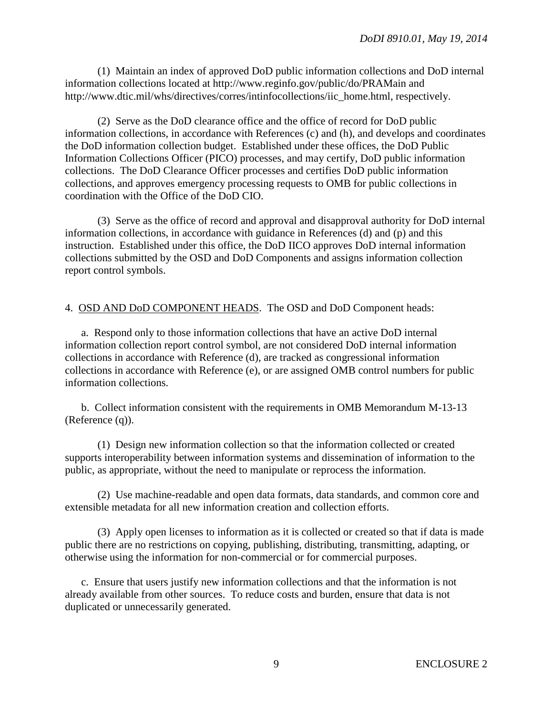(1) Maintain an index of approved DoD public information collections and DoD internal information collections located at http://www.reginfo.gov/public/do/PRAMain and http://www.dtic.mil/whs/directives/corres/intinfocollections/iic\_home.html, respectively.

(2) Serve as the DoD clearance office and the office of record for DoD public information collections, in accordance with References (c) and (h), and develops and coordinates the DoD information collection budget. Established under these offices, the DoD Public Information Collections Officer (PICO) processes, and may certify, DoD public information collections. The DoD Clearance Officer processes and certifies DoD public information collections, and approves emergency processing requests to OMB for public collections in coordination with the Office of the DoD CIO.

(3) Serve as the office of record and approval and disapproval authority for DoD internal information collections, in accordance with guidance in References (d) and (p) and this instruction. Established under this office, the DoD IICO approves DoD internal information collections submitted by the OSD and DoD Components and assigns information collection report control symbols.

### 4. OSD AND DoD COMPONENT HEADS. The OSD and DoD Component heads:

a. Respond only to those information collections that have an active DoD internal information collection report control symbol, are not considered DoD internal information collections in accordance with Reference (d), are tracked as congressional information collections in accordance with Reference (e), or are assigned OMB control numbers for public information collections.

b. Collect information consistent with the requirements in OMB Memorandum M-13-13 (Reference (q)).

(1) Design new information collection so that the information collected or created supports interoperability between information systems and dissemination of information to the public, as appropriate, without the need to manipulate or reprocess the information.

(2) Use machine-readable and open data formats, data standards, and common core and extensible metadata for all new information creation and collection efforts.

(3) Apply open licenses to information as it is collected or created so that if data is made public there are no restrictions on copying, publishing, distributing, transmitting, adapting, or otherwise using the information for non-commercial or for commercial purposes.

c. Ensure that users justify new information collections and that the information is not already available from other sources. To reduce costs and burden, ensure that data is not duplicated or unnecessarily generated.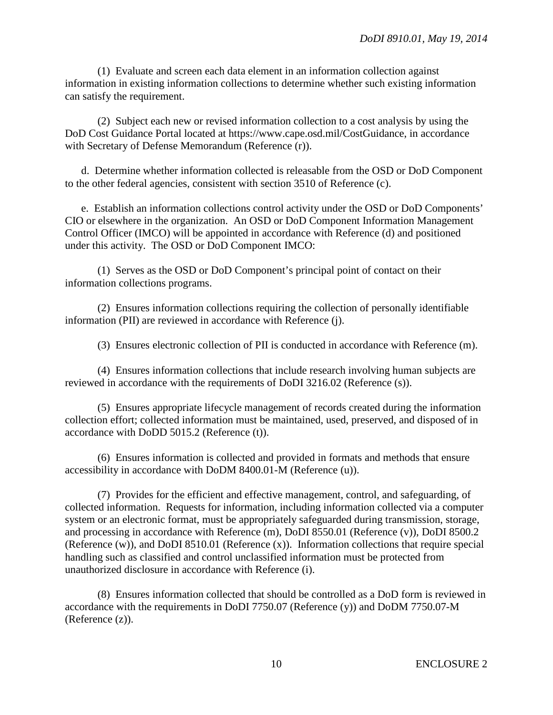(1) Evaluate and screen each data element in an information collection against information in existing information collections to determine whether such existing information can satisfy the requirement.

(2) Subject each new or revised information collection to a cost analysis by using the DoD Cost Guidance Portal located at https://www.cape.osd.mil/CostGuidance, in accordance with Secretary of Defense Memorandum (Reference (r)).

d. Determine whether information collected is releasable from the OSD or DoD Component to the other federal agencies, consistent with section 3510 of Reference (c).

e. Establish an information collections control activity under the OSD or DoD Components' CIO or elsewhere in the organization. An OSD or DoD Component Information Management Control Officer (IMCO) will be appointed in accordance with Reference (d) and positioned under this activity. The OSD or DoD Component IMCO:

(1) Serves as the OSD or DoD Component's principal point of contact on their information collections programs.

(2) Ensures information collections requiring the collection of personally identifiable information (PII) are reviewed in accordance with Reference (j).

(3) Ensures electronic collection of PII is conducted in accordance with Reference (m).

(4) Ensures information collections that include research involving human subjects are reviewed in accordance with the requirements of DoDI 3216.02 (Reference (s)).

(5) Ensures appropriate lifecycle management of records created during the information collection effort; collected information must be maintained, used, preserved, and disposed of in accordance with DoDD 5015.2 (Reference (t)).

(6) Ensures information is collected and provided in formats and methods that ensure accessibility in accordance with DoDM 8400.01-M (Reference (u)).

(7) Provides for the efficient and effective management, control, and safeguarding, of collected information. Requests for information, including information collected via a computer system or an electronic format, must be appropriately safeguarded during transmission, storage, and processing in accordance with Reference (m), DoDI 8550.01 (Reference (v)), DoDI 8500.2 (Reference (w)), and DoDI 8510.01 (Reference (x)). Information collections that require special handling such as classified and control unclassified information must be protected from unauthorized disclosure in accordance with Reference (i).

(8) Ensures information collected that should be controlled as a DoD form is reviewed in accordance with the requirements in DoDI 7750.07 (Reference (y)) and DoDM 7750.07-M (Reference (z)).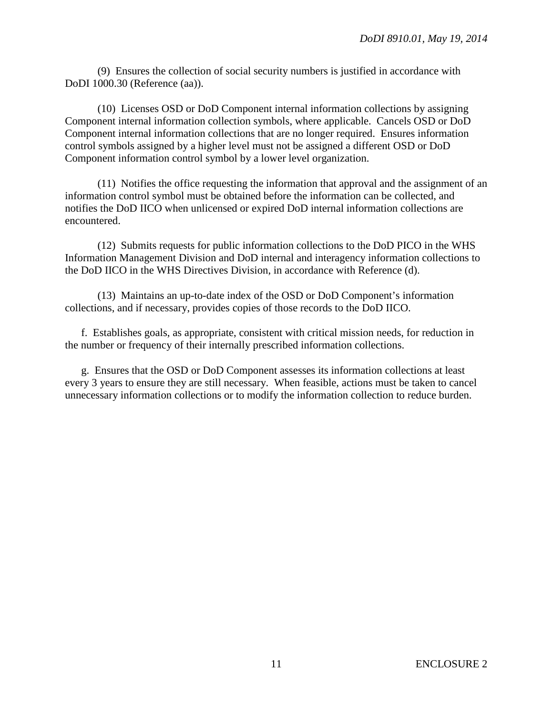(9) Ensures the collection of social security numbers is justified in accordance with DoDI 1000.30 (Reference (aa)).

(10) Licenses OSD or DoD Component internal information collections by assigning Component internal information collection symbols, where applicable. Cancels OSD or DoD Component internal information collections that are no longer required. Ensures information control symbols assigned by a higher level must not be assigned a different OSD or DoD Component information control symbol by a lower level organization.

(11) Notifies the office requesting the information that approval and the assignment of an information control symbol must be obtained before the information can be collected, and notifies the DoD IICO when unlicensed or expired DoD internal information collections are encountered.

(12) Submits requests for public information collections to the DoD PICO in the WHS Information Management Division and DoD internal and interagency information collections to the DoD IICO in the WHS Directives Division, in accordance with Reference (d).

(13) Maintains an up-to-date index of the OSD or DoD Component's information collections, and if necessary, provides copies of those records to the DoD IICO.

f. Establishes goals, as appropriate, consistent with critical mission needs, for reduction in the number or frequency of their internally prescribed information collections.

g. Ensures that the OSD or DoD Component assesses its information collections at least every 3 years to ensure they are still necessary. When feasible, actions must be taken to cancel unnecessary information collections or to modify the information collection to reduce burden.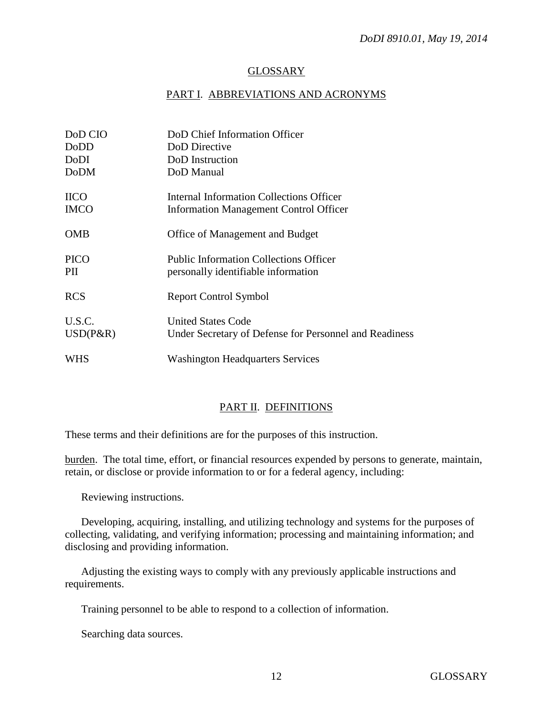#### **GLOSSARY**

#### PART I. ABBREVIATIONS AND ACRONYMS

| DoD CIO<br>DoDD       | DoD Chief Information Officer<br>DoD Directive                                       |
|-----------------------|--------------------------------------------------------------------------------------|
| DoDI                  | DoD Instruction                                                                      |
| <b>DoDM</b>           | DoD Manual                                                                           |
| <b>IICO</b>           | Internal Information Collections Officer                                             |
| <b>IMCO</b>           | Information Management Control Officer                                               |
| <b>OMB</b>            | Office of Management and Budget                                                      |
| <b>PICO</b><br>PII    | <b>Public Information Collections Officer</b><br>personally identifiable information |
| <b>RCS</b>            | <b>Report Control Symbol</b>                                                         |
| U.S.C.<br>$USD(P\&R)$ | <b>United States Code</b><br>Under Secretary of Defense for Personnel and Readiness  |
| WHS                   | <b>Washington Headquarters Services</b>                                              |

## PART II. DEFINITIONS

These terms and their definitions are for the purposes of this instruction.

burden. The total time, effort, or financial resources expended by persons to generate, maintain, retain, or disclose or provide information to or for a federal agency, including:

Reviewing instructions.

Developing, acquiring, installing, and utilizing technology and systems for the purposes of collecting, validating, and verifying information; processing and maintaining information; and disclosing and providing information.

Adjusting the existing ways to comply with any previously applicable instructions and requirements.

Training personnel to be able to respond to a collection of information.

Searching data sources.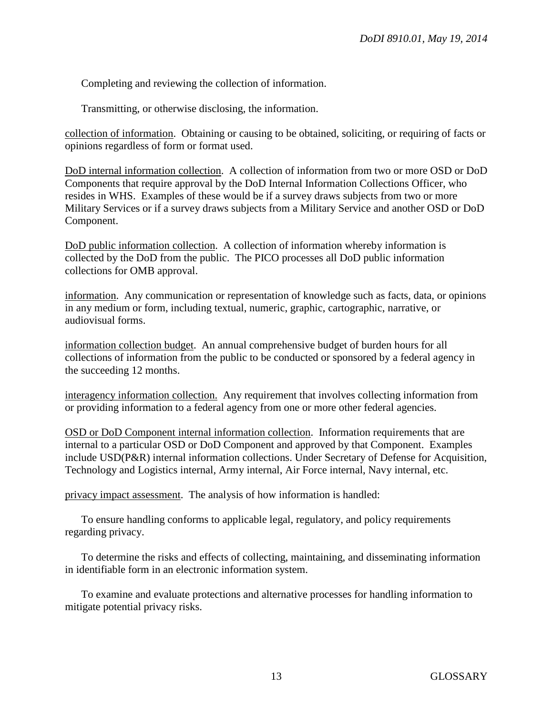Completing and reviewing the collection of information.

Transmitting, or otherwise disclosing, the information.

collection of information. Obtaining or causing to be obtained, soliciting, or requiring of facts or opinions regardless of form or format used.

DoD internal information collection. A collection of information from two or more OSD or DoD Components that require approval by the DoD Internal Information Collections Officer, who resides in WHS. Examples of these would be if a survey draws subjects from two or more Military Services or if a survey draws subjects from a Military Service and another OSD or DoD Component.

DoD public information collection. A collection of information whereby information is collected by the DoD from the public. The PICO processes all DoD public information collections for OMB approval.

information. Any communication or representation of knowledge such as facts, data, or opinions in any medium or form, including textual, numeric, graphic, cartographic, narrative, or audiovisual forms.

information collection budget. An annual comprehensive budget of burden hours for all collections of information from the public to be conducted or sponsored by a federal agency in the succeeding 12 months.

interagency information collection. Any requirement that involves collecting information from or providing information to a federal agency from one or more other federal agencies.

OSD or DoD Component internal information collection. Information requirements that are internal to a particular OSD or DoD Component and approved by that Component. Examples include USD(P&R) internal information collections. Under Secretary of Defense for Acquisition, Technology and Logistics internal, Army internal, Air Force internal, Navy internal, etc.

privacy impact assessment. The analysis of how information is handled:

To ensure handling conforms to applicable legal, regulatory, and policy requirements regarding privacy.

To determine the risks and effects of collecting, maintaining, and disseminating information in identifiable form in an electronic information system.

To examine and evaluate protections and alternative processes for handling information to mitigate potential privacy risks.